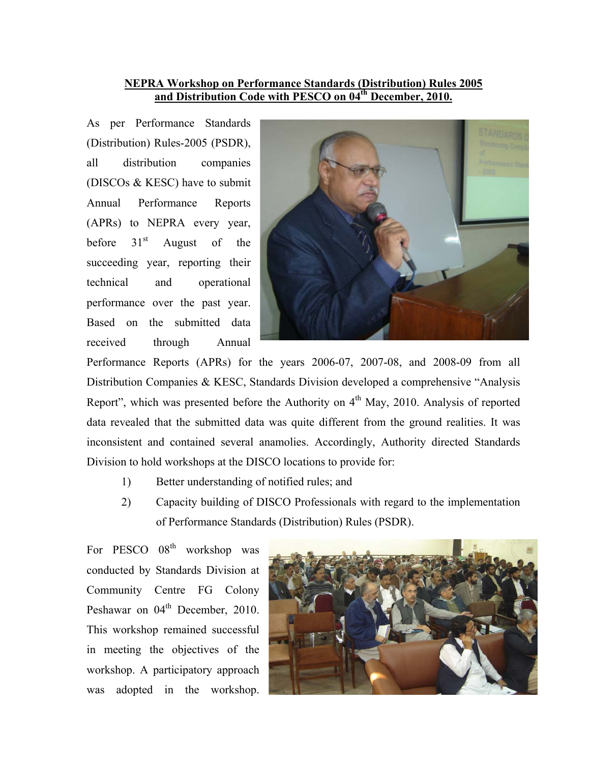## **NEPRA Workshop on Performance Standards (Distribution) Rules 2005 and Distribution Code with PESCO on 04th December, 2010.**

As per Performance Standards (Distribution) Rules-2005 (PSDR), all distribution companies (DISCOs & KESC) have to submit Annual Performance Reports (APRs) to NEPRA every year, before  $31<sup>st</sup>$  August of the succeeding year, reporting their technical and operational performance over the past year. Based on the submitted data received through Annual



Performance Reports (APRs) for the years 2006-07, 2007-08, and 2008-09 from all Distribution Companies & KESC, Standards Division developed a comprehensive "Analysis Report", which was presented before the Authority on  $4<sup>th</sup>$  May, 2010. Analysis of reported data revealed that the submitted data was quite different from the ground realities. It was inconsistent and contained several anamolies. Accordingly, Authority directed Standards Division to hold workshops at the DISCO locations to provide for:

- 1) Better understanding of notified rules; and
- 2) Capacity building of DISCO Professionals with regard to the implementation of Performance Standards (Distribution) Rules (PSDR).

For PESCO 08<sup>th</sup> workshop was conducted by Standards Division at Community Centre FG Colony Peshawar on 04<sup>th</sup> December, 2010. This workshop remained successful in meeting the objectives of the workshop. A participatory approach was adopted in the workshop.